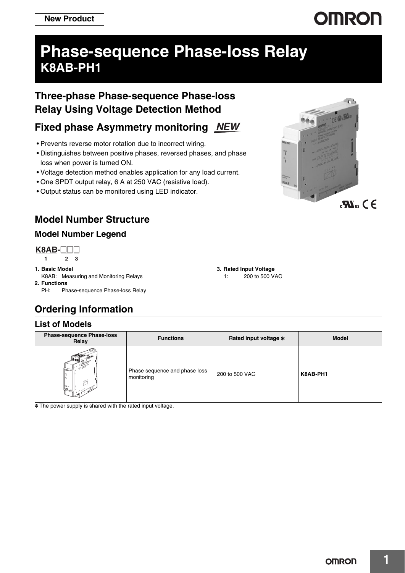# **OMRON**

## **Phase-sequence Phase-loss Relay K8AB-PH1**

## **Three-phase Phase-sequence Phase-loss Relay Using Voltage Detection Method**

## **Fixed phase Asymmetry monitoring**

- Prevents reverse motor rotation due to incorrect wiring.
- Distinguishes between positive phases, reversed phases, and phase loss when power is turned ON.
- Voltage detection method enables application for any load current.
- One SPDT output relay, 6 A at 250 VAC (resistive load).
- Output status can be monitored using LED indicator.

## **Model Number Structure**

### **Model Number Legend**

**1 23 K8AB-** $\Box$ 

- **1. Basic Model**
- K8AB: Measuring and Monitoring Relays **2. Functions**
	- PH: Phase-sequence Phase-loss Relay

## **Ordering Information**

### **List of Models**

| <b>Phase-sequence Phase-loss</b><br>Relay | <b>Functions</b>                            | Rated input voltage * | <b>Model</b> |
|-------------------------------------------|---------------------------------------------|-----------------------|--------------|
| ÷                                         | Phase sequence and phase loss<br>monitoring | 200 to 500 VAC        | K8AB-PH1     |

\* The power supply is shared with the rated input voltage.



**3. Rated Input Voltage**

1: 200 to 500 VAC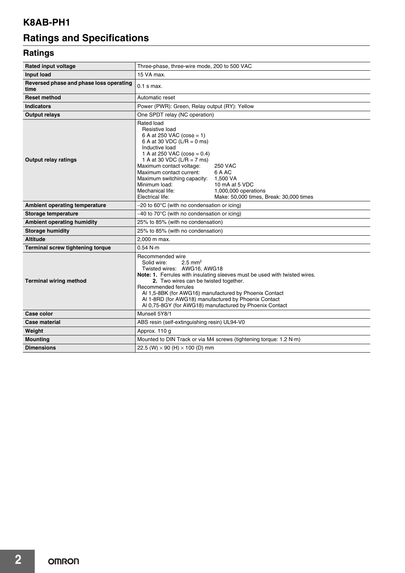## **K8AB-PH1**

## **Ratings and Specifications**

## **Ratings**

| <b>Rated input voltage</b>                      | Three-phase, three-wire mode, 200 to 500 VAC                                                                                                                                                                                                                                                                                                                                                                                                               |  |
|-------------------------------------------------|------------------------------------------------------------------------------------------------------------------------------------------------------------------------------------------------------------------------------------------------------------------------------------------------------------------------------------------------------------------------------------------------------------------------------------------------------------|--|
| Input load                                      | 15 VA max.                                                                                                                                                                                                                                                                                                                                                                                                                                                 |  |
| Reversed phase and phase loss operating<br>time | $0.1$ s max.                                                                                                                                                                                                                                                                                                                                                                                                                                               |  |
| <b>Reset method</b>                             | Automatic reset                                                                                                                                                                                                                                                                                                                                                                                                                                            |  |
| <b>Indicators</b>                               | Power (PWR): Green, Relay output (RY): Yellow                                                                                                                                                                                                                                                                                                                                                                                                              |  |
| <b>Output relays</b>                            | One SPDT relay (NC operation)                                                                                                                                                                                                                                                                                                                                                                                                                              |  |
| <b>Output relay ratings</b>                     | Rated load<br>Resistive load<br>6 A at 250 VAC $(cos\phi = 1)$<br>6 A at 30 VDC (L/R = 0 ms)<br>Inductive load<br>1 A at 250 VAC $(cos\phi = 0.4)$<br>1 A at 30 VDC (L/R = 7 ms)<br>Maximum contact voltage:<br><b>250 VAC</b><br>Maximum contact current:<br>6 A AC<br>Maximum switching capacity: 1,500 VA<br>Minimum load:<br>10 mA at 5 VDC<br>Mechanical life:<br>1,000,000 operations<br>Electrical life:<br>Make: 50,000 times, Break: 30,000 times |  |
| Ambient operating temperature                   | $-20$ to 60°C (with no condensation or icing)                                                                                                                                                                                                                                                                                                                                                                                                              |  |
| Storage temperature                             | $-40$ to 70 $\degree$ C (with no condensation or icing)                                                                                                                                                                                                                                                                                                                                                                                                    |  |
| <b>Ambient operating humidity</b>               | 25% to 85% (with no condensation)                                                                                                                                                                                                                                                                                                                                                                                                                          |  |
| <b>Storage humidity</b>                         | 25% to 85% (with no condensation)                                                                                                                                                                                                                                                                                                                                                                                                                          |  |
| <b>Altitude</b>                                 | 2.000 m max.                                                                                                                                                                                                                                                                                                                                                                                                                                               |  |
| <b>Terminal screw tightening torque</b>         | 0.54 N·m                                                                                                                                                                                                                                                                                                                                                                                                                                                   |  |
| <b>Terminal wiring method</b>                   | Recommended wire<br>$2.5$ mm <sup>2</sup><br>Solid wire:<br>Twisted wires: AWG16, AWG18<br>Note: 1. Ferrules with insulating sleeves must be used with twisted wires.<br>2. Two wires can be twisted together.<br>Recommended ferrules<br>Al 1,5-8BK (for AWG16) manufactured by Phoenix Contact<br>Al 1-8RD (for AWG18) manufactured by Phoenix Contact<br>Al 0.75-8GY (for AWG18) manufactured by Phoenix Contact                                        |  |
| <b>Case color</b>                               | Munsell 5Y8/1                                                                                                                                                                                                                                                                                                                                                                                                                                              |  |
| Case material                                   | ABS resin (self-extinguishing resin) UL94-V0                                                                                                                                                                                                                                                                                                                                                                                                               |  |
| Weight                                          | Approx. 110 g                                                                                                                                                                                                                                                                                                                                                                                                                                              |  |
| <b>Mounting</b>                                 | Mounted to DIN Track or via M4 screws (tightening torque: 1.2 N·m)                                                                                                                                                                                                                                                                                                                                                                                         |  |
| <b>Dimensions</b>                               | 22.5 (W) $\times$ 90 (H) $\times$ 100 (D) mm                                                                                                                                                                                                                                                                                                                                                                                                               |  |

**2**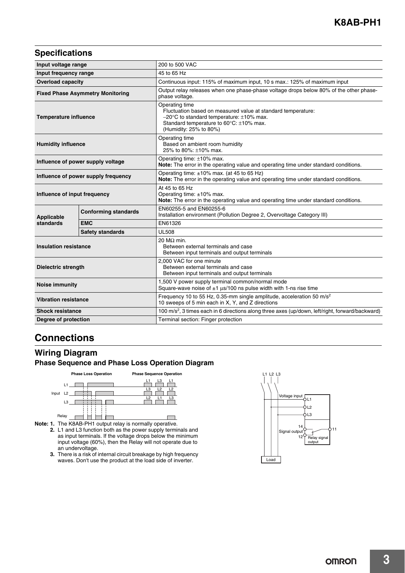### **Specifications**

| Input voltage range                     |                             | 200 to 500 VAC                                                                                                                                                                                                  |  |
|-----------------------------------------|-----------------------------|-----------------------------------------------------------------------------------------------------------------------------------------------------------------------------------------------------------------|--|
| Input frequency range                   |                             | 45 to 65 Hz                                                                                                                                                                                                     |  |
| <b>Overload capacity</b>                |                             | Continuous input: 115% of maximum input, 10 s max.: 125% of maximum input                                                                                                                                       |  |
| <b>Fixed Phase Asymmetry Monitoring</b> |                             | Output relay releases when one phase-phase voltage drops below 80% of the other phase-<br>phase voltage.                                                                                                        |  |
| <b>Temperature influence</b>            |                             | Operating time<br>Fluctuation based on measured value at standard temperature:<br>$-20^{\circ}$ C to standard temperature: $\pm 10\%$ max.<br>Standard temperature to 60°C: ±10% max.<br>(Humidity: 25% to 80%) |  |
| <b>Humidity influence</b>               |                             | Operating time<br>Based on ambient room humidity<br>25% to 80%: ±10% max.                                                                                                                                       |  |
| Influence of power supply voltage       |                             | Operating time: $\pm 10\%$ max.<br>Note: The error in the operating value and operating time under standard conditions.                                                                                         |  |
| Influence of power supply frequency     |                             | Operating time: $\pm 10\%$ max. (at 45 to 65 Hz)<br>Note: The error in the operating value and operating time under standard conditions.                                                                        |  |
| Influence of input frequency            |                             | At 45 to 65 Hz<br>Operating time: ±10% max.<br>Note: The error in the operating value and operating time under standard conditions.                                                                             |  |
| Applicable                              | <b>Conforming standards</b> | EN60255-5 and EN60255-6<br>Installation environment (Pollution Degree 2, Overvoltage Category III)                                                                                                              |  |
| standards                               | <b>EMC</b>                  | EN61326                                                                                                                                                                                                         |  |
|                                         | <b>Safety standards</b>     | <b>UL508</b>                                                                                                                                                                                                    |  |
| <b>Insulation resistance</b>            |                             | 20 M $\Omega$ min.<br>Between external terminals and case<br>Between input terminals and output terminals                                                                                                       |  |
| <b>Dielectric strength</b>              |                             | 2.000 VAC for one minute<br>Between external terminals and case<br>Between input terminals and output terminals                                                                                                 |  |
| <b>Noise immunity</b>                   |                             | 1,500 V power supply terminal common/normal mode<br>Square-wave noise of $\pm 1$ µs/100 ns pulse width with 1-ns rise time                                                                                      |  |
| <b>Vibration resistance</b>             |                             | Frequency 10 to 55 Hz, 0.35-mm single amplitude, acceleration 50 m/s <sup>2</sup><br>10 sweeps of 5 min each in X, Y, and Z directions                                                                          |  |
| <b>Shock resistance</b>                 |                             | 100 m/s <sup>2</sup> , 3 times each in 6 directions along three axes (up/down, left/right, forward/backward)                                                                                                    |  |
| Degree of protection                    |                             | Terminal section: Finger protection                                                                                                                                                                             |  |

## **Connections**

### **Wiring Diagram Phase Sequence and Phase Loss Operation Diagram**



**Note: 1.** The K8AB-PH1 output relay is normally operative.

- **2.** L1 and L3 function both as the power supply terminals and as input terminals. If the voltage drops below the minimum input voltage (60%), then the Relay will not operate due to an undervoltage.
	- **3.** There is a risk of internal circuit breakage by high frequency waves. Don't use the product at the load side of inverter.

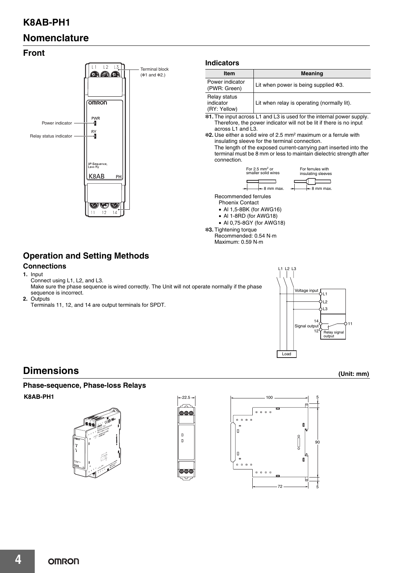## **K8AB-PH1**

## **Nomenclature**

### **Front**



Recommended: 0.54 N·m Maximum: 0.59 N·m

## **Operation and Setting Methods**

### **Connections**

- **1.** Input Connect using L1, L2, and L3. Make sure the phase sequence is wired correctly. The Unit will not operate normally if the phase sequence is incorrect.
- **2.** Outputs
- Terminals 11, 12, and 14 are output terminals for SPDT.



For ferrules with insulating sleeves

## **Dimensions (Unit: mm)**

### **Phase-sequence, Phase-loss Relays K8AB-PH1** <sup>5</sup>





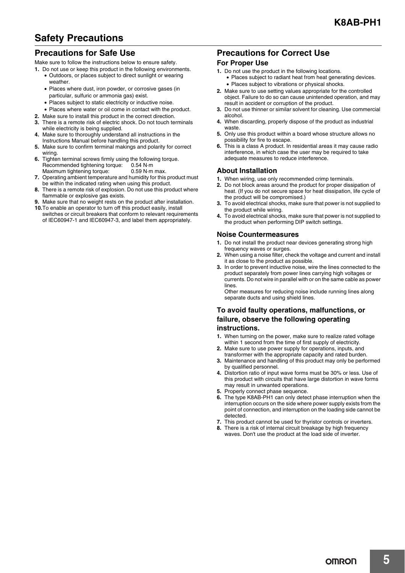## **Safety Precautions**

### **Precautions for Safe Use**

Make sure to follow the instructions below to ensure safety.

- **1.** Do not use or keep this product in the following environments.
	- Outdoors, or places subject to direct sunlight or wearing weather.
	- Places where dust, iron powder, or corrosive gases (in particular, sulfuric or ammonia gas) exist.
	- Places subject to static electricity or inductive noise.
	- Places where water or oil come in contact with the product.
- **2.** Make sure to install this product in the correct direction.
- There is a remote risk of electric shock. Do not touch terminals while electricity is being supplied.
- **4.** Make sure to thoroughly understand all instructions in the Instructions Manual before handling this product.
- **5.** Make sure to confirm terminal makings and polarity for correct wiring.
- **6.** Tighten terminal screws firmly using the following torque. Recommended tightening torque: 0.54 N·m Maximum tightening torque: 0.59 N·m max.
- **7.** Operating ambient temperature and humidity for this product must be within the indicated rating when using this product.
- **8.** There is a remote risk of explosion. Do not use this product where flammable or explosive gas exists.
- **9.** Make sure that no weight rests on the product after installation.
- **10.**To enable an operator to turn off this product easily, install switches or circuit breakers that conform to relevant requirements of IEC60947-1 and IEC60947-3, and label them appropriately.

### **Precautions for Correct Use**

#### **For Proper Use**

- **1.** Do not use the product in the following locations. • Places subject to radiant heat from heat generating devices. • Places subject to vibrations or physical shocks.
- **2.** Make sure to use setting values appropriate for the controlled object. Failure to do so can cause unintended operation, and may result in accident or corruption of the product.
- **3.** Do not use thinner or similar solvent for cleaning. Use commercial alcohol.
- **4.** When discarding, properly dispose of the product as industrial waste.
- **5.** Only use this product within a board whose structure allows no possibility for fire to escape.
- **6.** This is a class A product. In residential areas it may cause radio interference, in which case the user may be required to take adequate measures to reduce interference.

#### **About Installation**

- **1.** When wiring, use only recommended crimp terminals.
- **2.** Do not block areas around the product for proper dissipation of heat. (If you do not secure space for heat dissipation, life cycle of the product will be compromised.)
- **3.** To avoid electrical shocks, make sure that power is not supplied to the product while wiring.
- **4.** To avoid electrical shocks, make sure that power is not supplied to the product when performing DIP switch settings.

#### **Noise Countermeasures**

- **1.** Do not install the product near devices generating strong high frequency waves or surges.
- **2.** When using a noise filter, check the voltage and current and install it as close to the product as possible.
- **3.** In order to prevent inductive noise, wire the lines connected to the product separately from power lines carrying high voltages or currents. Do not wire in parallel with or on the same cable as power lines.

Other measures for reducing noise include running lines along separate ducts and using shield lines.

#### **To avoid faulty operations, malfunctions, or failure, observe the following operating instructions.**

- **1.** When turning on the power, make sure to realize rated voltage within 1 second from the time of first supply of electricity.
- **2.** Make sure to use power supply for operations, inputs, and transformer with the appropriate capacity and rated burden.
- **3.** Maintenance and handling of this product may only be performed by qualified personnel.
- **4.** Distortion ratio of input wave forms must be 30% or less. Use of this product with circuits that have large distortion in wave forms may result in unwanted operations.
- **5.** Properly connect phase sequence.
- **6.** The type K8AB-PH1 can only detect phase interruption when the interruption occurs on the side where power supply exists from the point of connection, and interruption on the loading side cannot be detected.
- **7.** This product cannot be used for thyristor controls or inverters.
- **8.** There is a risk of internal circuit breakage by high frequency waves. Don't use the product at the load side of inverter.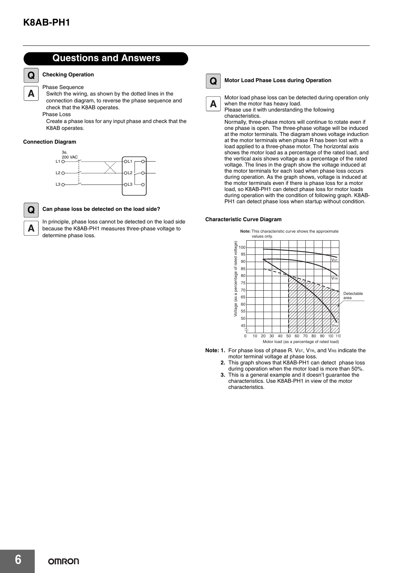**Q**

A

### **Questions and Answers**

#### **Checking Operation**

#### Phase Sequence

Switch the wiring, as shown by the dotted lines in the connection diagram, to reverse the phase sequence and check that the K8AB operates.

Phase Loss

Create a phase loss for any input phase and check that the K8AB operates.

#### **Connection Diagram**





A

#### **Can phase loss be detected on the load side?**

In principle, phase loss cannot be detected on the load side because the K8AB-PH1 measures three-phase voltage to determine phase loss.



A

#### **Motor Load Phase Loss during Operation**

Motor load phase loss can be detected during operation only when the motor has heavy load.

Please use it with understanding the following characteristics.

Normally, three-phase motors will continue to rotate even if one phase is open. The three-phase voltage will be induced at the motor terminals. The diagram shows voltage induction at the motor terminals when phase R has been lost with a load applied to a three-phase motor. The horizontal axis shows the motor load as a percentage of the rated load, and the vertical axis shows voltage as a percentage of the rated voltage. The lines in the graph show the voltage induced at the motor terminals for each load when phase loss occurs during operation. As the graph shows, voltage is induced at the motor terminals even if there is phase loss for a motor load, so K8AB-PH1 can detect phase loss for motor loads during operation with the condition of following graph. K8AB-PH1 can detect phase loss when startup without condition.

#### **Characteristic Curve Diagram**



- **Note: 1.** For phase loss of phase R. V<sub>ST</sub>, V<sub>TR</sub>, and V<sub>RS</sub> indicate the motor terminal voltage at phase loss.
	- **2.** This graph shows that K8AB-PH1 can detect phase loss during operation when the motor load is more than 50%.
	- **3.** This is a general example and it doesn't guarantee the characteristics. Use K8AB-PH1 in view of the motor characteristics.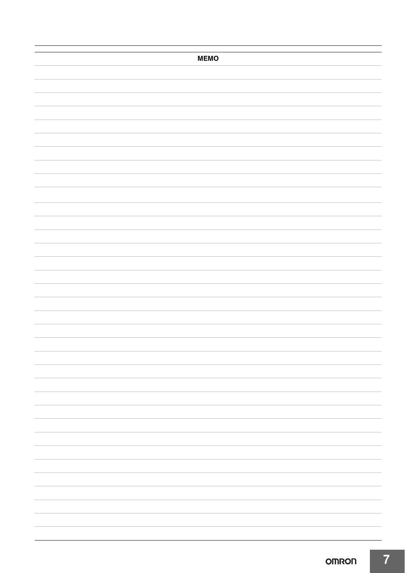| <b>MEMO</b> |
|-------------|
|             |
|             |
|             |
|             |
|             |
|             |
|             |
|             |
|             |
|             |
|             |
|             |
|             |
|             |
|             |
|             |
|             |
|             |
|             |
|             |
|             |
|             |
|             |
|             |
|             |
|             |
|             |
|             |
|             |
|             |
|             |
|             |
|             |
|             |
|             |